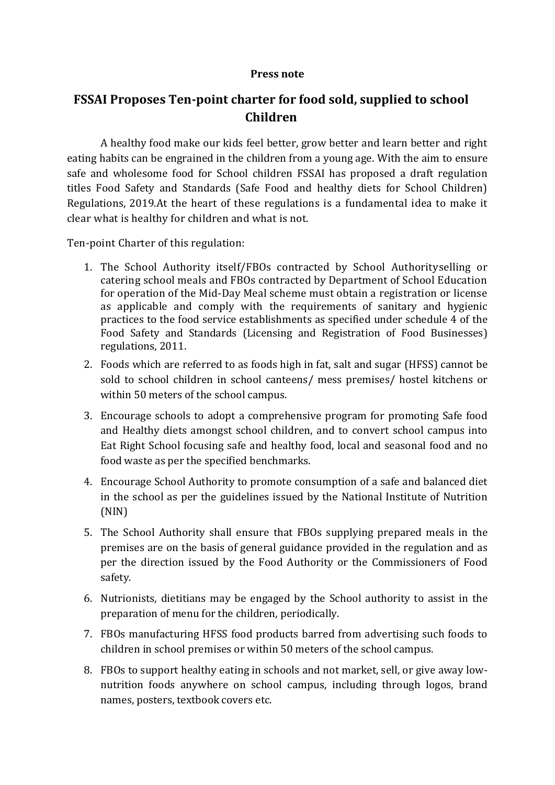## **Press note**

## **FSSAI Proposes Ten-point charter for food sold, supplied to school Children**

A healthy food make our kids feel better, grow better and learn better and right eating habits can be engrained in the children from a young age. With the aim to ensure safe and wholesome food for School children FSSAI has proposed a draft regulation titles Food Safety and Standards (Safe Food and healthy diets for School Children) Regulations, 2019.At the heart of these regulations is a fundamental idea to make it clear what is healthy for children and what is not.

Ten-point Charter of this regulation:

- 1. The School Authority itself/FBOs contracted by School Authorityselling or catering school meals and FBOs contracted by Department of School Education for operation of the Mid-Day Meal scheme must obtain a registration or license as applicable and comply with the requirements of sanitary and hygienic practices to the food service establishments as specified under schedule 4 of the Food Safety and Standards (Licensing and Registration of Food Businesses) regulations, 2011.
- 2. Foods which are referred to as foods high in fat, salt and sugar (HFSS) cannot be sold to school children in school canteens/ mess premises/ hostel kitchens or within 50 meters of the school campus.
- 3. Encourage schools to adopt a comprehensive program for promoting Safe food and Healthy diets amongst school children, and to convert school campus into Eat Right School focusing safe and healthy food, local and seasonal food and no food waste as per the specified benchmarks.
- 4. Encourage School Authority to promote consumption of a safe and balanced diet in the school as per the guidelines issued by the National Institute of Nutrition (NIN)
- 5. The School Authority shall ensure that FBOs supplying prepared meals in the premises are on the basis of general guidance provided in the regulation and as per the direction issued by the Food Authority or the Commissioners of Food safety.
- 6. Nutrionists, dietitians may be engaged by the School authority to assist in the preparation of menu for the children, periodically.
- 7. FBOs manufacturing HFSS food products barred from advertising such foods to children in school premises or within 50 meters of the school campus.
- 8. FBOs to support healthy eating in schools and not market, sell, or give away lownutrition foods anywhere on school campus, including through logos, brand names, posters, textbook covers etc.